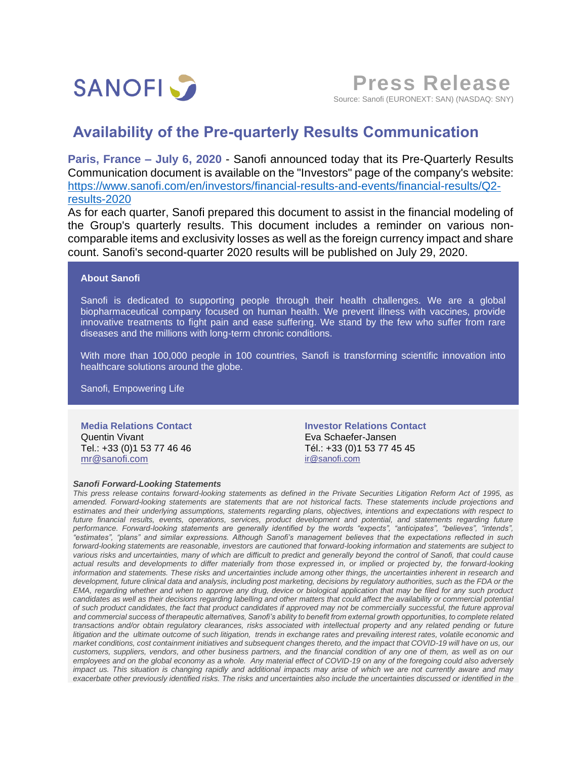

**Press Release** Source: Sanofi (EURONEXT: SAN) (NASDAQ: SNY)

## **Availability of the Pre-quarterly Results Communication**

**Paris, France – July 6, 2020** - Sanofi announced today that its Pre-Quarterly Results Communication document is available on the "Investors" page of the company's website: [https://www.sanofi.com/en/investors/financial-results-and-events/financial-results/Q2](https://www.sanofi.com/en/investors/financial-results-and-events/financial-results/Q2-results-2020) [results-2020](https://www.sanofi.com/en/investors/financial-results-and-events/financial-results/Q2-results-2020)

As for each quarter, Sanofi prepared this document to assist in the financial modeling of the Group's quarterly results. This document includes a reminder on various noncomparable items and exclusivity losses as well as the foreign currency impact and share count. Sanofi's second-quarter 2020 results will be published on July 29, 2020.

## **About Sanofi**

Sanofi is dedicated to supporting people through their health challenges. We are a global biopharmaceutical company focused on human health. We prevent illness with vaccines, provide innovative treatments to fight pain and ease suffering. We stand by the few who suffer from rare diseases and the millions with long-term chronic conditions.

With more than 100,000 people in 100 countries, Sanofi is transforming scientific innovation into healthcare solutions around the globe.

Sanofi, Empowering Life

**Media Relations Contact** Quentin Vivant Tel.: +33 (0)1 53 77 46 46 [mr@sanofi.com](mailto:mr@sanofi.com)

## *Sanofi Forward-Looking Statements*

**Investor Relations Contact** Eva Schaefer-Jansen Tél.: +33 (0)1 53 77 45 45 [ir@sanofi.com](mailto:ir@sanofi.com)

*This press release contains forward-looking statements as defined in the Private Securities Litigation Reform Act of 1995, as amended. Forward-looking statements are statements that are not historical facts. These statements include projections and estimates and their underlying assumptions, statements regarding plans, objectives, intentions and expectations with respect to future financial results, events, operations, services, product development and potential, and statements regarding future performance. Forward-looking statements are generally identified by the words "expects", "anticipates", "believes", "intends", "estimates", "plans" and similar expressions. Although Sanofi's management believes that the expectations reflected in such forward-looking statements are reasonable, investors are cautioned that forward-looking information and statements are subject to various risks and uncertainties, many of which are difficult to predict and generally beyond the control of Sanofi, that could cause actual results and developments to differ materially from those expressed in, or implied or projected by, the forward-looking information and statements. These risks and uncertainties include among other things, the uncertainties inherent in research and development, future clinical data and analysis, including post marketing, decisions by regulatory authorities, such as the FDA or the EMA, regarding whether and when to approve any drug, device or biological application that may be filed for any such product*  candidates as well as their decisions regarding labelling and other matters that could affect the availability or commercial potential *of such product candidates, the fact that product candidates if approved may not be commercially successful, the future approval and commercial success of therapeutic alternatives, Sanofi's ability to benefit from external growth opportunities, to complete related transactions and/or obtain regulatory clearances, risks associated with intellectual property and any related pending or future*  litigation and the ultimate outcome of such litigation, trends in exchange rates and prevailing interest rates, volatile economic and *market conditions, cost containment initiatives and subsequent changes thereto, and the impact that COVID-19 will have on us, our customers, suppliers, vendors, and other business partners, and the financial condition of any one of them, as well as on our employees and on the global economy as a whole. Any material effect of COVID-19 on any of the foregoing could also adversely*  impact us. This situation is changing rapidly and additional impacts may arise of which we are not currently aware and may *exacerbate other previously identified risks. The risks and uncertainties also include the uncertainties discussed or identified in the*